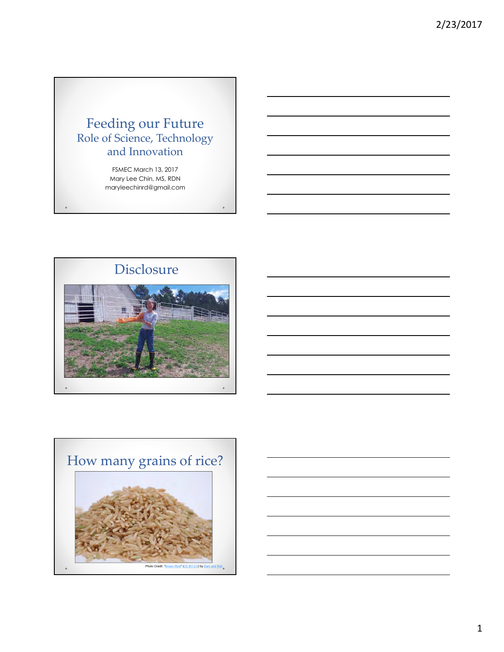## Feeding our Future Role of Science, Technology and Innovation

FSMEC March 13, 2017 Mary Lee Chin, MS, RDN maryleechinrd@gmail.com



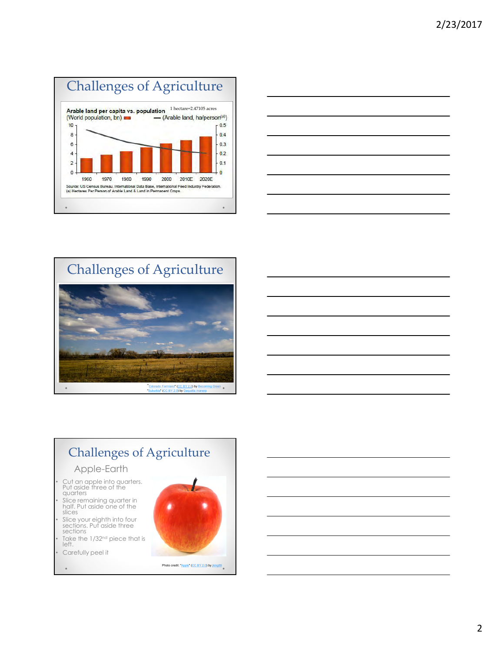







- Slice remaining quarter in half. Put aside one of the slices
- Slice your eighth into four<br>sections. Put aside three<br>sections sections and the sections of the sections of the sections of the section of the section of the section of the section
- Take the 1/32<sup>nd</sup> piece that is **the contract of the contract of the contract of the contract of the contract of the contract of the contract of the contract of the contract of the contract of the contract of the contrac**
- 

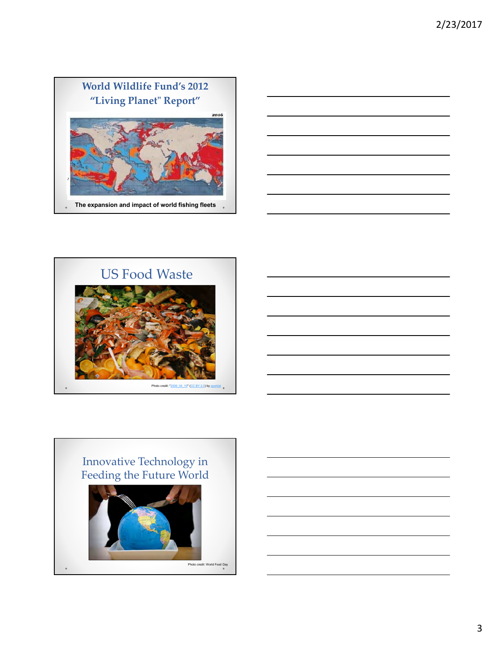





3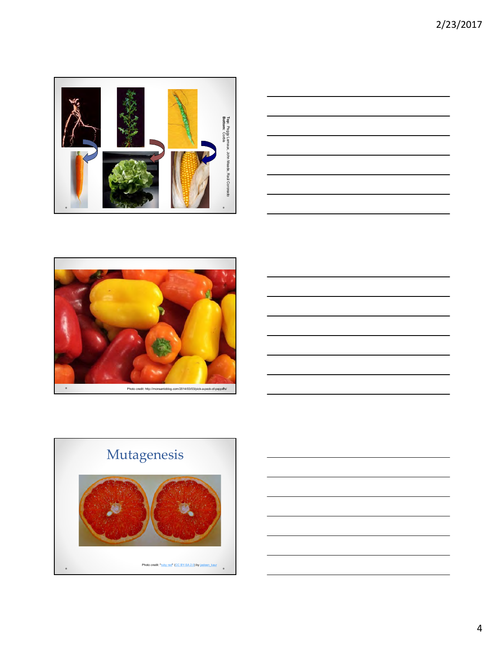







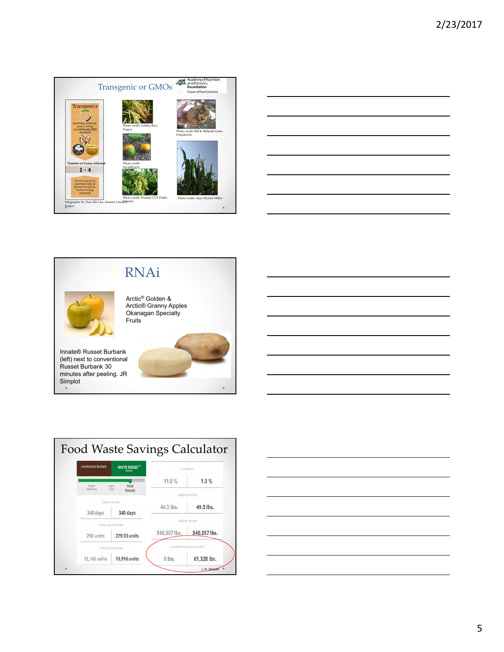







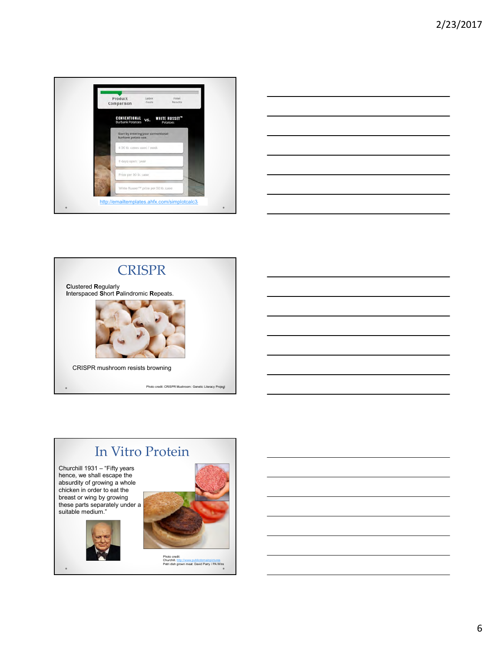







6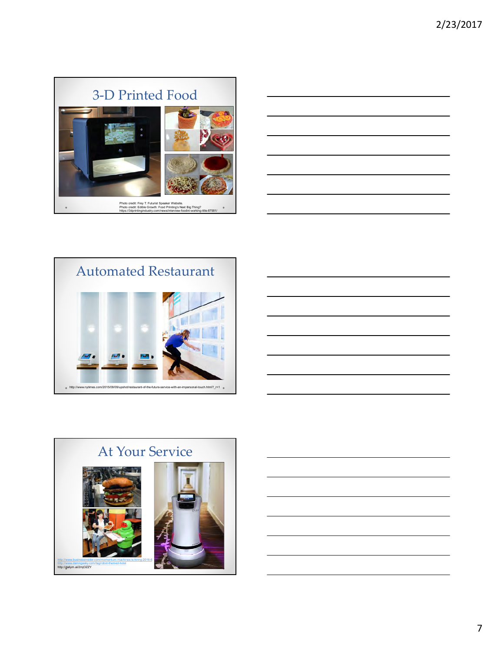





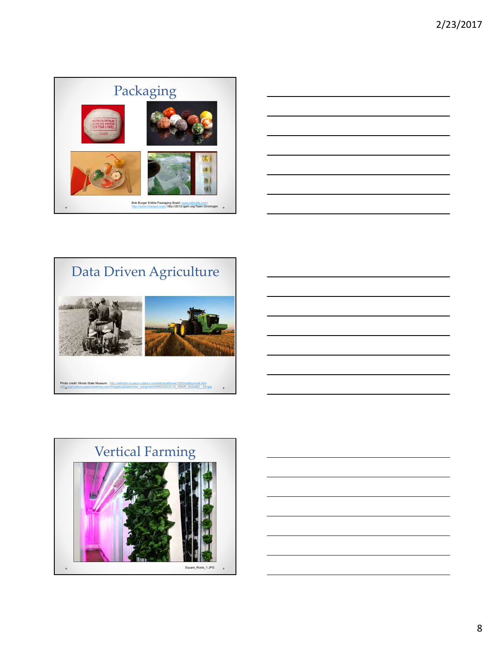